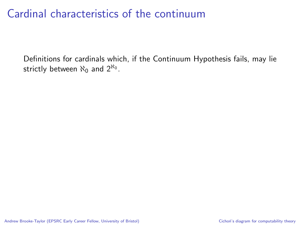Definitions for cardinals which, if the Continuum Hypothesis fails, may lie strictly between  $\aleph_0$  and  $2^{\aleph_0}$ .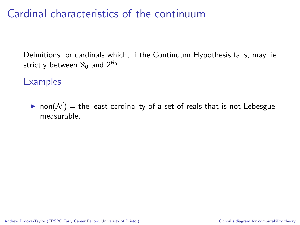Definitions for cardinals which, if the Continuum Hypothesis fails, may lie strictly between  $\aleph_0$  and  $2^{\aleph_0}$ .

### **Examples**

• non( $\mathcal{N}$ ) = the least cardinality of a set of reals that is not Lebesgue measurable.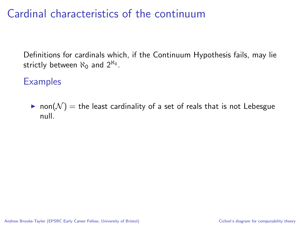Definitions for cardinals which, if the Continuum Hypothesis fails, may lie strictly between  $\aleph_0$  and  $2^{\aleph_0}$ .

#### **Examples**

• non $(N)$  = the least cardinality of a set of reals that is not Lebesgue null.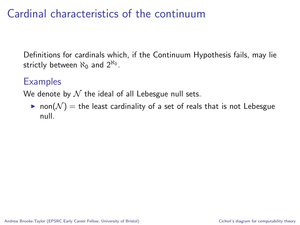Definitions for cardinals which, if the Continuum Hypothesis fails, may lie strictly between  $\aleph_0$  and  $2^{\aleph_0}$ .

### **Examples**

We denote by  $N$  the ideal of all Lebesgue null sets.

non( $\mathcal{N}$ ) = the least cardinality of a set of reals that is not Lebesgue null.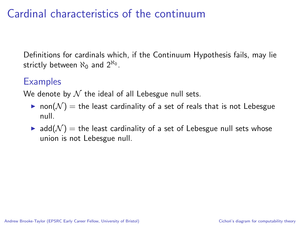Definitions for cardinals which, if the Continuum Hypothesis fails, may lie strictly between  $\aleph_0$  and  $2^{\aleph_0}$ .

### **Examples**

We denote by  $N$  the ideal of all Lebesgue null sets.

- non( $\mathcal{N}$ ) = the least cardinality of a set of reals that is not Lebesgue null.
- $\blacktriangleright$  add( $\mathcal{N}$ ) = the least cardinality of a set of Lebesgue null sets whose union is not Lebesgue null.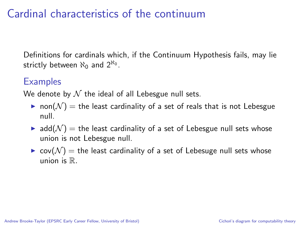Definitions for cardinals which, if the Continuum Hypothesis fails, may lie strictly between  $\aleph_0$  and  $2^{\aleph_0}$ .

### **Examples**

We denote by  $N$  the ideal of all Lebesgue null sets.

- non( $\mathcal{N}$ ) = the least cardinality of a set of reals that is not Lebesgue null.
- $\blacktriangleright$  add $(N)$  = the least cardinality of a set of Lebesgue null sets whose union is not Lebesgue null.
- $\triangleright$  cov $(\mathcal{N})$  = the least cardinality of a set of Lebesuge null sets whose  $union$  is  $\mathbb{R}$ .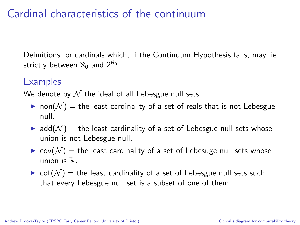Definitions for cardinals which, if the Continuum Hypothesis fails, may lie strictly between  $\aleph_0$  and  $2^{\aleph_0}$ .

### **Examples**

We denote by  $N$  the ideal of all Lebesgue null sets.

- non( $\mathcal{N}$ ) = the least cardinality of a set of reals that is not Lebesgue null.
- $\blacktriangleright$  add $(N)$  = the least cardinality of a set of Lebesgue null sets whose union is not Lebesgue null.
- $\triangleright$  cov( $\mathcal{N}$ ) = the least cardinality of a set of Lebesuge null sets whose union is  $\mathbb R$ .
- $\triangleright$  cof( $\mathcal{N}$ ) = the least cardinality of a set of Lebesgue null sets such that every Lebesgue null set is a subset of one of them.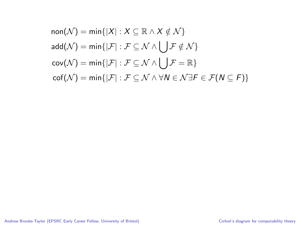$$
non(\mathcal{N}) = min\{|X| : X \subseteq \mathbb{R} \land X \notin \mathcal{N}\}
$$
  
add( $\mathcal{N}$ ) = min{ $|\mathcal{F}| : \mathcal{F} \subseteq \mathcal{N} \land \bigcup \mathcal{F} \notin \mathcal{N}$ }  
cov( $\mathcal{N}$ ) = min{ $|\mathcal{F}| : \mathcal{F} \subseteq \mathcal{N} \land \bigcup \mathcal{F} = \mathbb{R}$ }  
cof( $\mathcal{N}$ ) = min{ $|\mathcal{F}| : \mathcal{F} \subseteq \mathcal{N} \land \forall N \in \mathcal{N} \exists F \in \mathcal{F}(N \subseteq F)$ }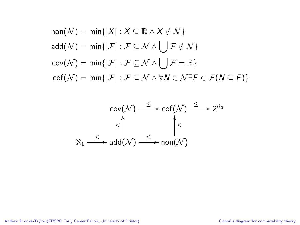$$
non(\mathcal{N}) = min\{|X| : X \subseteq \mathbb{R} \land X \notin \mathcal{N}\}
$$
  
add( $\mathcal{N}$ ) = min{ $|\mathcal{F}| : \mathcal{F} \subseteq \mathcal{N} \land \bigcup \mathcal{F} \notin \mathcal{N}$ }  
cov( $\mathcal{N}$ ) = min{ $|\mathcal{F}| : \mathcal{F} \subseteq \mathcal{N} \land \bigcup \mathcal{F} = \mathbb{R}$ }  
cof( $\mathcal{N}$ ) = min{ $|\mathcal{F}| : \mathcal{F} \subseteq \mathcal{N} \land \forall \mathcal{N} \in \mathcal{N} \exists \mathcal{F} \in \mathcal{F}(\mathcal{N} \subseteq \mathcal{F})$ }

$$
\operatorname{cov}(\mathcal{N}) \xrightarrow{\leq} \operatorname{cof}(\mathcal{N}) \xrightarrow{\leq} 2^{\aleph_0}
$$
\n
$$
\leq \bigwedge_{\aleph_1} \xrightarrow{\leq} \operatorname{add}(\mathcal{N}) \xrightarrow{\leq} \operatorname{non}(\mathcal{N})
$$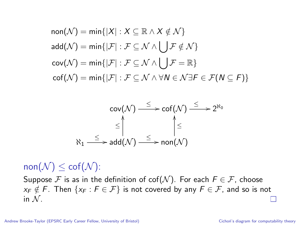$$
non(\mathcal{N}) = min\{|X| : X \subseteq \mathbb{R} \land X \notin \mathcal{N}\}
$$
  
add( $\mathcal{N}$ ) = min{ $|\mathcal{F}| : \mathcal{F} \subseteq \mathcal{N} \land \bigcup \mathcal{F} \notin \mathcal{N}$ }  
cov( $\mathcal{N}$ ) = min{ $|\mathcal{F}| : \mathcal{F} \subseteq \mathcal{N} \land \bigcup \mathcal{F} = \mathbb{R}$ }  
cof( $\mathcal{N}$ ) = min{ $|\mathcal{F}| : \mathcal{F} \subseteq \mathcal{N} \land \forall \mathcal{N} \in \mathcal{N} \exists \mathcal{F} \in \mathcal{F}(\mathcal{N} \subseteq \mathcal{F})$ }

$$
\operatorname{cov}(\mathcal{N}) \xrightarrow{\leq} \operatorname{cof}(\mathcal{N}) \xrightarrow{\leq} 2^{\aleph_0}
$$
\n
$$
\leq \qquad \qquad \diamondsuit
$$
\n
$$
\aleph_1 \xrightarrow{\leq} \operatorname{add}(\mathcal{N}) \xrightarrow{\leq} \operatorname{non}(\mathcal{N})
$$

 $\mathsf{non}(\mathcal{N}) \leq \mathsf{cof}(\mathcal{N})$ :

Suppose F is as in the definition of  $\text{cof}(\mathcal{N})$ . For each  $F \in \mathcal{F}$ , choose  $x_F \notin F$ . Then  $\{x_F : F \in \mathcal{F}\}\$ is not covered by any  $F \in \mathcal{F}$ , and so is not in  $N$ .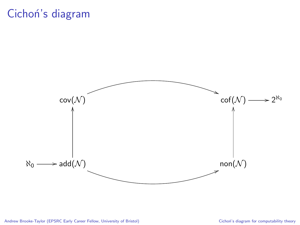## Cichoń's diagram

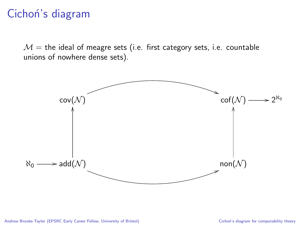## Cichoń's diagram

 $M =$  the ideal of meagre sets (i.e. first category sets, i.e. countable unions of nowhere dense sets).

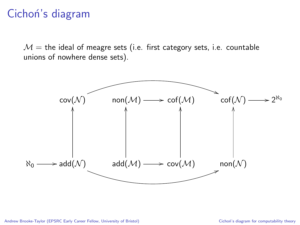## Cichon's diagram

 $M =$  the ideal of meagre sets (i.e. first category sets, i.e. countable unions of nowhere dense sets).

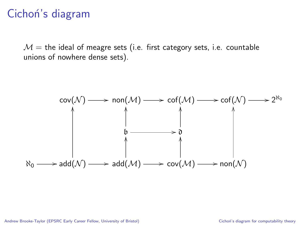## Cichoń's diagram

 $M =$  the ideal of meagre sets (i.e. first category sets, i.e. countable unions of nowhere dense sets).

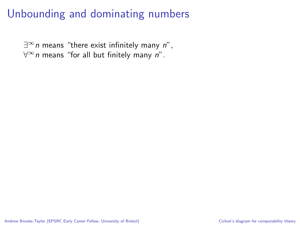$\exists^{\infty}$ n means "there exist infinitely many n",  $\forall^{\infty}$ n means "for all but finitely many n".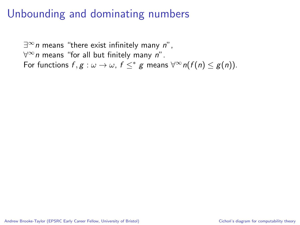$\exists^{\infty}$ n means "there exist infinitely many n",  $\forall^{\infty}$ n means "for all but finitely many n". For functions  $f, g : \omega \to \omega$ ,  $f \leq^* g$  means  $\forall^{\infty} n(f(n) \leq g(n))$ .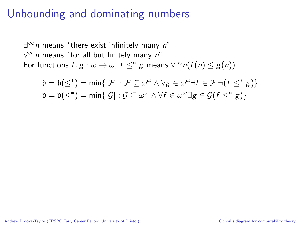$\exists^{\infty}$ n means "there exist infinitely many n",  $\forall^{\infty}$ n means "for all but finitely many n". For functions  $f, g : \omega \to \omega$ ,  $f \leq^* g$  means  $\forall^{\infty} n(f(n) \leq g(n))$ .

$$
\begin{aligned} \mathfrak{b} &= \mathfrak{b}(\leq^*) = \min\{|\mathcal{F}| : \mathcal{F} \subseteq \omega^\omega \land \forall \mathsf{g} \in \omega^\omega \exists \mathsf{f} \in \mathcal{F} \neg (\mathsf{f} \leq^* \mathsf{g})\} \\ \mathfrak{d} &= \mathfrak{d}(\leq^*) = \min\{|\mathcal{G}| : \mathcal{G} \subseteq \omega^\omega \land \forall \mathsf{f} \in \omega^\omega \exists \mathsf{g} \in \mathcal{G}(\mathsf{f} \leq^* \mathsf{g})\} \end{aligned}
$$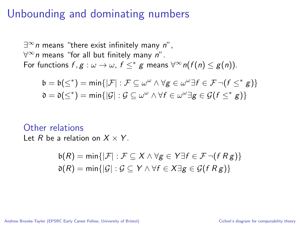$\exists^{\infty}$ n means "there exist infinitely many n",  $\forall^{\infty}$ n means "for all but finitely many n". For functions  $f, g : \omega \to \omega$ ,  $f \leq^* g$  means  $\forall^{\infty} n(f(n) \leq g(n))$ .

$$
\begin{aligned} \mathfrak{b} &= \mathfrak{b}(\leq^*) = \min\{|\mathcal{F}| : \mathcal{F} \subseteq \omega^\omega \land \forall g \in \omega^\omega \exists f \in \mathcal{F} \neg (f \leq^* g)\} \\ \mathfrak{d} &= \mathfrak{d}(\leq^*) = \min\{|\mathcal{G}| : \mathcal{G} \subseteq \omega^\omega \land \forall f \in \omega^\omega \exists g \in \mathcal{G}(f \leq^* g)\} \end{aligned}
$$

Other relations

Let R be a relation on  $X \times Y$ .

$$
b(R) = \min\{|\mathcal{F}| : \mathcal{F} \subseteq X \land \forall g \in Y \exists f \in \mathcal{F} \neg (f R g)\}
$$
  

$$
\mathfrak{d}(R) = \min\{|\mathcal{G}| : \mathcal{G} \subseteq Y \land \forall f \in X \exists g \in \mathcal{G}(f R g)\}
$$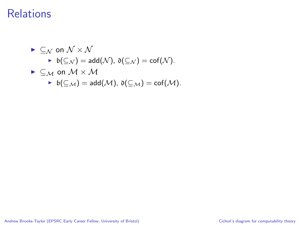\n- $$
\vdash \subseteq_N
$$
 on  $\mathcal{N} \times \mathcal{N}$
\n- $\vdash$   $b(\subseteq_N) = \text{add}(\mathcal{N}), \mathfrak{d}(\subseteq_N) = \text{cof}(\mathcal{N}).$
\n- $\vdash \subseteq_M$  on  $\mathcal{M} \times \mathcal{M}$
\n- $\vdash$   $b(\subseteq_M) = \text{add}(\mathcal{M}), \mathfrak{d}(\subseteq_M) = \text{cof}(\mathcal{M}).$
\n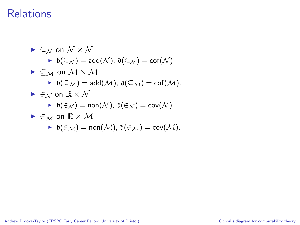\n- \n
$$
\subseteq_{\mathcal{N}} \text{ on } \mathcal{N} \times \mathcal{N}
$$
\n
\n- \n $\models$   $b(\subseteq_{\mathcal{N}}) = \text{add}(\mathcal{N}), \, \mathfrak{d}(\subseteq_{\mathcal{N}}) = \text{cof}(\mathcal{N}).$ \n
\n- \n $\subseteq_{\mathcal{M}} \text{ on } \mathcal{M} \times \mathcal{M}$ \n
\n- \n $\models$   $b(\subseteq_{\mathcal{M}}) = \text{add}(\mathcal{M}), \, \mathfrak{d}(\subseteq_{\mathcal{M}}) = \text{cof}(\mathcal{M}).$ \n
\n- \n $\models$   $\in_{\mathcal{N}} \text{ on } \mathbb{R} \times \mathcal{N}$ \n
\n- \n $\models$   $\mathfrak{b}(\in_{\mathcal{N}}) = \text{non}(\mathcal{N}), \, \mathfrak{d}(\in_{\mathcal{N}}) = \text{cov}(\mathcal{N}).$ \n
\n- \n $\in_{\mathcal{M}} \text{ on } \mathbb{R} \times \mathcal{M}$ \n
\n

$$
\quad \blacktriangleright \ \mathfrak{b}(\in_{\mathcal{M}})=\text{non}(\mathcal{M}),\ \mathfrak{d}(\in_{\mathcal{M}})=\text{cov}(\mathcal{M}).
$$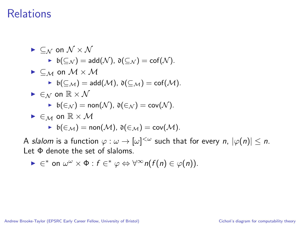\n- $$
\subseteq_N
$$
 on  $\mathcal{N} \times \mathcal{N}$
\n- $\mathfrak{b}(\subseteq_N) = \text{add}(\mathcal{N}), \mathfrak{d}(\subseteq_N) = \text{cof}(\mathcal{N}).$
\n- $\subseteq_{\mathcal{M}}$  on  $\mathcal{M} \times \mathcal{M}$
\n- $\mathfrak{b}(\subseteq_{\mathcal{M}}) = \text{add}(\mathcal{M}), \mathfrak{d}(\subseteq_{\mathcal{M}}) = \text{cof}(\mathcal{M}).$
\n- $\in_N$  on  $\mathbb{R} \times \mathcal{N}$
\n- $\mathfrak{b}(\in_N) = \text{non}(\mathcal{N}), \mathfrak{d}(\in_N) = \text{cov}(\mathcal{N}).$
\n- $\in_{\mathcal{M}}$  on  $\mathbb{R} \times \mathcal{M}$
\n- $\mathfrak{b}(\in_{\mathcal{M}}) = \text{non}(\mathcal{M}), \mathfrak{d}(\in_{\mathcal{M}}) = \text{cov}(\mathcal{M}).$
\n

A slalom is a function  $\varphi:\omega\to[\omega]^{<\omega}$  such that for every  $n,$   $|\varphi(n)|\leq n.$ Let Φ denote the set of slaloms.

$$
\blacktriangleright \in^* \text{ on } \omega^{\omega} \times \Phi : f \in^* \varphi \Leftrightarrow \forall^{\infty} n(f(n) \in \varphi(n)).
$$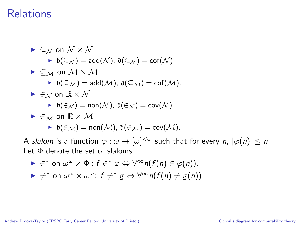\n- $$
\subseteq_N
$$
 on  $\mathcal{N} \times \mathcal{N}$
\n- $b(\subseteq_N) = \text{add}(\mathcal{N}), \, \mathfrak{d}(\subseteq_N) = \text{cof}(\mathcal{N}).$
\n- $\subseteq_M$  on  $\mathcal{M} \times \mathcal{M}$
\n- $b(\subseteq_M) = \text{add}(\mathcal{M}), \, \mathfrak{d}(\subseteq_M) = \text{cof}(\mathcal{M}).$
\n- $\in_N$  on  $\mathbb{R} \times \mathcal{N}$
\n- $b(\in_N) = \text{non}(\mathcal{N}), \, \mathfrak{d}(\in_N) = \text{cov}(\mathcal{N}).$
\n- $\in_M$  on  $\mathbb{R} \times \mathcal{M}$
\n- $b(\in_M) = \text{non}(\mathcal{M}), \, \mathfrak{d}(\in_M) = \text{cov}(\mathcal{M}).$
\n

A slalom is a function  $\varphi:\omega\to[\omega]^{<\omega}$  such that for every  $n,$   $|\varphi(n)|\leq n.$ Let Φ denote the set of slaloms.

\n- $$
\blacktriangleright \in^*
$$
 on  $\omega^{\omega} \times \Phi : f \in^* \varphi \Leftrightarrow \forall^{\infty} n(f(n) \in \varphi(n))$ .
\n- $\blacktriangleright \neq^*$  on  $\omega^{\omega} \times \omega^{\omega} : f \neq^* g \Leftrightarrow \forall^{\infty} n(f(n) \neq g(n))$
\n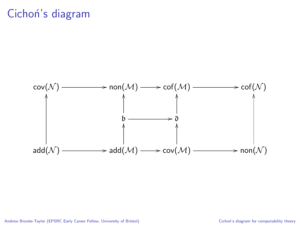## Cichoń's diagram

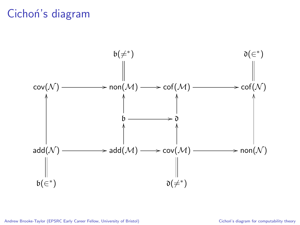## Cichoń's diagram

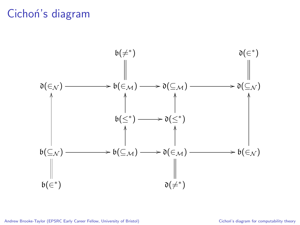## Cichon's diagram

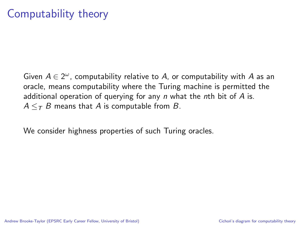## Computability theory

Given  $A \in 2^\omega$ , computability relative to A, or computability with A as an oracle, means computability where the Turing machine is permitted the additional operation of querying for any  $n$  what the nth bit of  $A$  is.  $A \leq_{\mathcal{T}} B$  means that A is computable from B.

We consider highness properties of such Turing oracles.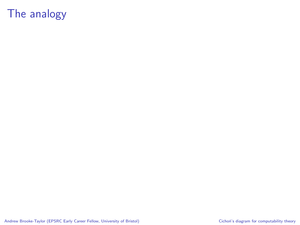## The analogy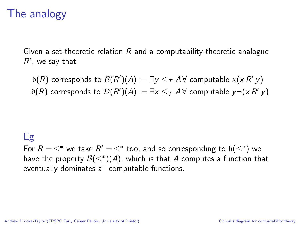## The analogy

Given a set-theoretic relation  $R$  and a computability-theoretic analogue  $R'$ , we say that

 $\mathfrak{b}(R)$  corresponds to  $\mathcal{B}(R')(A):=\exists y\leq_{\mathcal{T}} A\,\forall$  computable  $x(x\,R'y)$  $\mathfrak{d}(R)$  corresponds to  $\mathcal{D}(R')(A):=\exists x\leq_{\mathcal{T}} A\,\forall$  computable  $y\neg(x\,R'\,y)$ 

### Eg

For  $R = \leq^*$  we take  $R' = \leq^*$  too, and so corresponding to  $\mathfrak{b}(\leq^*)$  we have the property  $\mathcal{B}(\leq^*)(\mathcal{A})$ , which is that  $\mathcal A$  computes a function that eventually dominates all computable functions.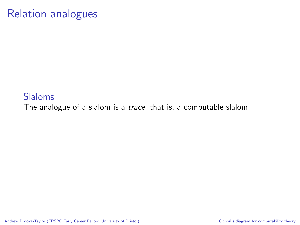#### Slaloms

The analogue of a slalom is a *trace*, that is, a computable slalom.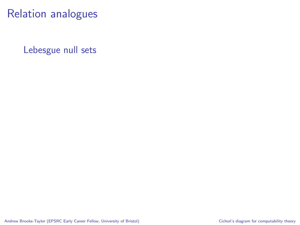Lebesgue null sets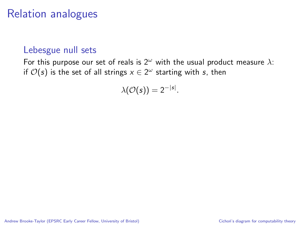#### Lebesgue null sets

For this purpose our set of reals is  $2^{\omega}$  with the usual product measure  $\lambda$ : if  $\mathcal{O}(s)$  is the set of all strings  $x \in 2^\omega$  starting with  $s$ , then

$$
\lambda(\mathcal{O}(s))=2^{-|s|}.
$$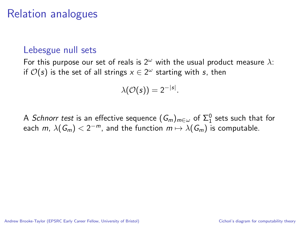#### Lebesgue null sets

For this purpose our set of reals is  $2^{\omega}$  with the usual product measure  $\lambda$ : if  $\mathcal{O}(s)$  is the set of all strings  $x \in 2^\omega$  starting with  $s$ , then

$$
\lambda(\mathcal{O}(s))=2^{-|s|}.
$$

A *Schnorr test* is an effective sequence  $(\mathsf{G}_m)_{m\in\omega}$  of  $\Sigma_1^0$  sets such that for each  $m$ ,  $\lambda(\mathcal{G}_m) < 2^{-m}$ , and the function  $m \mapsto \lambda(\mathcal{G}_m)$  is computable.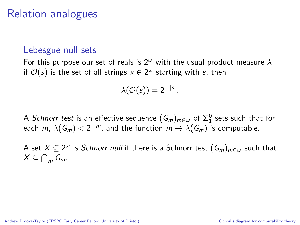#### Lebesgue null sets

For this purpose our set of reals is  $2^{\omega}$  with the usual product measure  $\lambda$ : if  $\mathcal{O}(s)$  is the set of all strings  $x \in 2^\omega$  starting with  $s$ , then

$$
\lambda(\mathcal{O}(s))=2^{-|s|}.
$$

A *Schnorr test* is an effective sequence  $(\mathsf{G}_m)_{m\in\omega}$  of  $\Sigma_1^0$  sets such that for each  $m$ ,  $\lambda(\mathcal{G}_m) < 2^{-m}$ , and the function  $m \mapsto \lambda(\mathcal{G}_m)$  is computable.

A set  $X\subseteq 2^\omega$  is *Schnorr null* if there is a Schnorr test  $(\mathit{G}_m)_{m\in\omega}$  such that  $X \subseteq \bigcap_m G_m$ .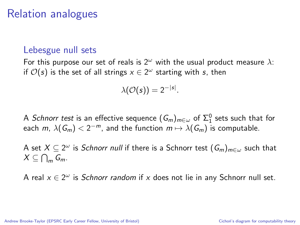#### Lebesgue null sets

For this purpose our set of reals is  $2^{\omega}$  with the usual product measure  $\lambda$ : if  $\mathcal{O}(s)$  is the set of all strings  $x \in 2^\omega$  starting with  $s$ , then

$$
\lambda(\mathcal{O}(s))=2^{-|s|}.
$$

A *Schnorr test* is an effective sequence  $(\mathsf{G}_m)_{m\in\omega}$  of  $\Sigma_1^0$  sets such that for each  $m$ ,  $\lambda(\mathcal{G}_m) < 2^{-m}$ , and the function  $m \mapsto \lambda(\mathcal{G}_m)$  is computable.

A set  $X\subseteq 2^\omega$  is *Schnorr null* if there is a Schnorr test  $(\mathit{G}_m)_{m\in\omega}$  such that  $X \subseteq \bigcap_m G_m$ .

A real  $x \in 2^{\omega}$  is *Schnorr random* if x does not lie in any Schnorr null set.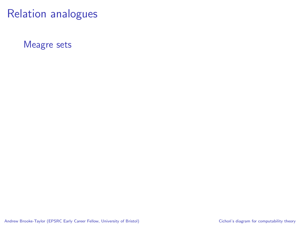Meagre sets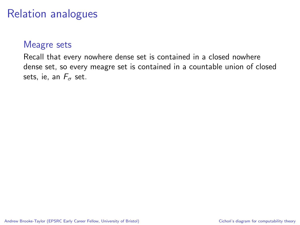#### Meagre sets

Recall that every nowhere dense set is contained in a closed nowhere dense set, so every meagre set is contained in a countable union of closed sets, ie, an  $F_{\sigma}$  set.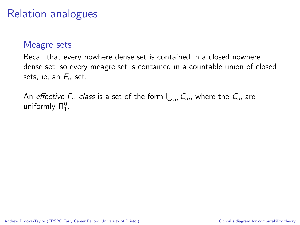#### Meagre sets

Recall that every nowhere dense set is contained in a closed nowhere dense set, so every meagre set is contained in a countable union of closed sets, ie, an  $F_{\sigma}$  set.

An *effective*  $F_{\sigma}$  *class* is a set of the form  $\bigcup_{m} C_m$ , where the  $C_m$  are uniformly  $\Pi_1^0$ .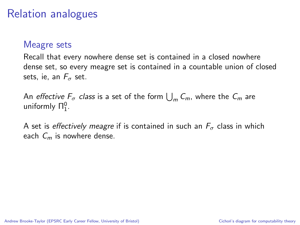#### Meagre sets

Recall that every nowhere dense set is contained in a closed nowhere dense set, so every meagre set is contained in a countable union of closed sets, ie, an  $F_{\sigma}$  set.

An *effective*  $F_{\sigma}$  *class* is a set of the form  $\bigcup_{m} C_m$ , where the  $C_m$  are uniformly  $\Pi_1^0$ .

A set is effectively meagre if is contained in such an  $F_{\sigma}$  class in which each  $C_m$  is nowhere dense.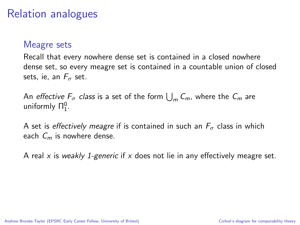#### Meagre sets

Recall that every nowhere dense set is contained in a closed nowhere dense set, so every meagre set is contained in a countable union of closed sets, ie, an  $F_{\sigma}$  set.

An *effective*  $F_{\sigma}$  *class* is a set of the form  $\bigcup_{m} C_m$ , where the  $C_m$  are uniformly  $\Pi_1^0$ .

A set is *effectively meagre* if is contained in such an  $F_{\sigma}$  class in which each  $C_m$  is nowhere dense.

A real x is weakly 1-generic if x does not lie in any effectively meagre set.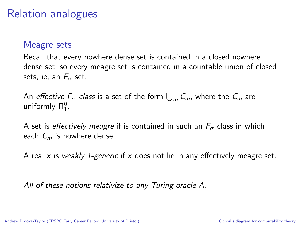#### Meagre sets

Recall that every nowhere dense set is contained in a closed nowhere dense set, so every meagre set is contained in a countable union of closed sets, ie, an  $F_{\sigma}$  set.

An *effective*  $F_{\sigma}$  *class* is a set of the form  $\bigcup_{m} C_m$ , where the  $C_m$  are uniformly  $\Pi_1^0$ .

A set is *effectively meagre* if is contained in such an  $F_{\sigma}$  class in which each  $C_m$  is nowhere dense.

A real x is weakly 1-generic if x does not lie in any effectively meagre set.

All of these notions relativize to any Turing oracle A.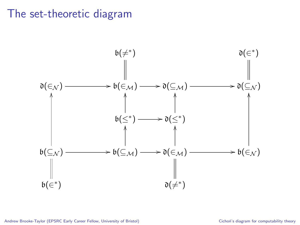## The set-theoretic diagram

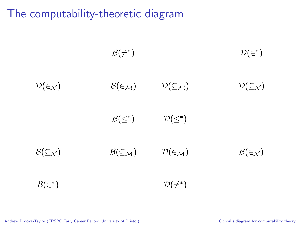$$
B(\neq^*) \qquad \qquad \mathcal{D}(\in^*)
$$
  

$$
\mathcal{D}(\in_{\mathcal{N}}) \qquad \qquad \mathcal{B}(\in_{\mathcal{M}}) \qquad \qquad \mathcal{D}(\subseteq_{\mathcal{M}}) \qquad \qquad \mathcal{D}(\subseteq_{\mathcal{N}})
$$
  

$$
\mathcal{B}(\leq^*) \qquad \qquad \mathcal{D}(\leq^*)
$$
  

$$
\mathcal{B}(\subseteq_{\mathcal{N}}) \qquad \qquad \mathcal{B}(\subseteq_{\mathcal{M}}) \qquad \qquad \mathcal{D}(\in_{\mathcal{M}}) \qquad \qquad \mathcal{B}(\in_{\mathcal{N}})
$$
  

$$
\mathcal{B}(\in^*) \qquad \qquad \mathcal{D}(\neq^*)
$$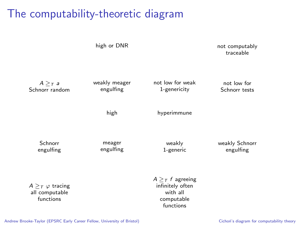high or DNR not computably traceable  $A >_{T} a$ Schnorr random weakly meager engulfing not low for weak 1-genericity not low for Schnorr tests high hyperimmune Schnorr engulfing meager engulfing weakly 1-generic weakly Schnorr engulfing  $A >_{\mathcal{T}} f$  agreeing infinitely often

 $A >_{T} \varphi$  tracing all computable functions

with all computable functions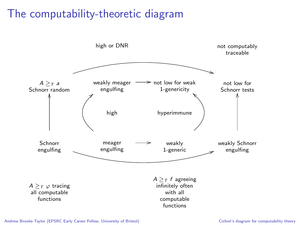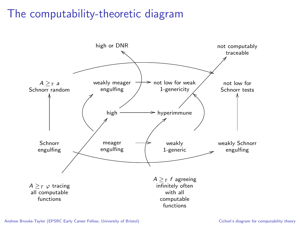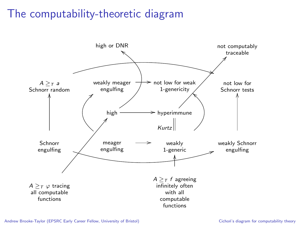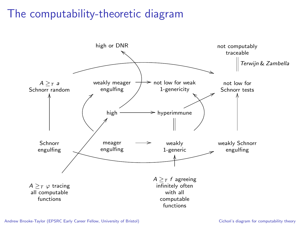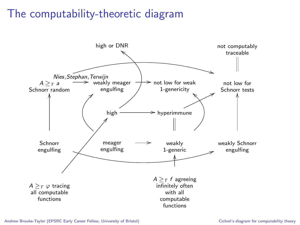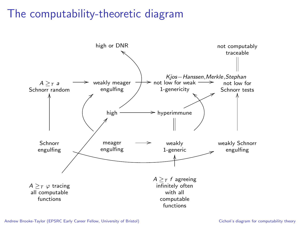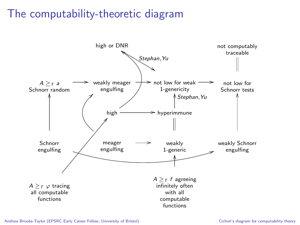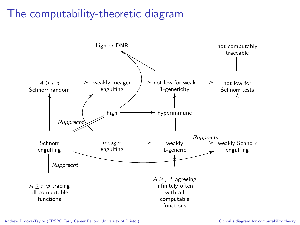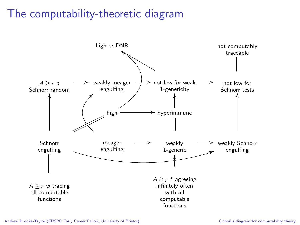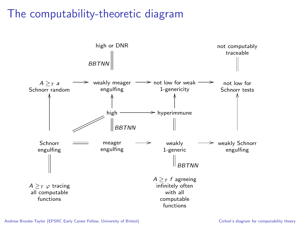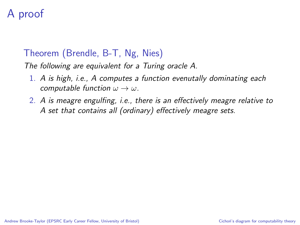# A proof

### Theorem (Brendle, B-T, Ng, Nies)

The following are equivalent for a Turing oracle A.

- 1. A is high, i.e., A computes a function evenutally dominating each computable function  $\omega \to \omega$ .
- 2. A is meagre engulfing, i.e., there is an effectively meagre relative to A set that contains all (ordinary) effectively meagre sets.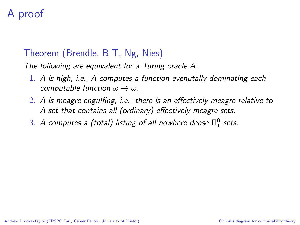# A proof

### Theorem (Brendle, B-T, Ng, Nies)

The following are equivalent for a Turing oracle A.

- 1. A is high, i.e., A computes a function evenutally dominating each computable function  $\omega \to \omega$ .
- 2. A is meagre engulfing, i.e., there is an effectively meagre relative to A set that contains all (ordinary) effectively meagre sets.
- 3. A computes a (total) listing of all nowhere dense  $\Pi^0_1$  sets.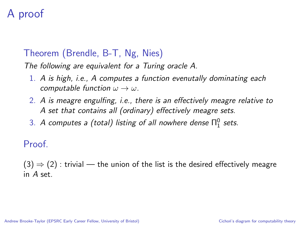# A proof

### Theorem (Brendle, B-T, Ng, Nies)

The following are equivalent for a Turing oracle A.

- 1. A is high, i.e., A computes a function evenutally dominating each computable function  $\omega \rightarrow \omega$ .
- 2. A is meagre engulfing, i.e., there is an effectively meagre relative to A set that contains all (ordinary) effectively meagre sets.
- 3. A computes a (total) listing of all nowhere dense  $\Pi^0_1$  sets.

Proof.

 $(3) \Rightarrow (2)$ : trivial — the union of the list is the desired effectively meagre in  $A$  set.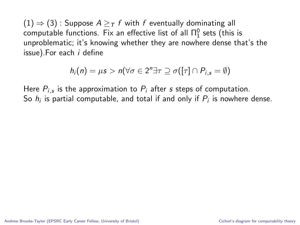$$
h_i(n) = \mu s > n(\forall \sigma \in 2^n \exists \tau \supseteq \sigma([\tau] \cap P_{i,s} = \emptyset)
$$

Here  $P_{i,s}$  is the approximation to  $P_i$  after  $s$  steps of computation. So  $h_i$  is partial computable, and total if and only if  $P_i$  is nowhere dense.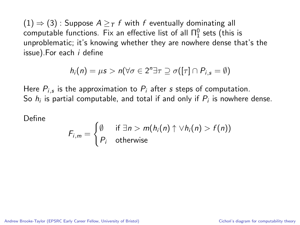$$
h_i(n) = \mu s > n(\forall \sigma \in 2^n \exists \tau \supseteq \sigma([\tau] \cap P_{i,s} = \emptyset)
$$

Here  $P_{i,s}$  is the approximation to  $P_i$  after  $s$  steps of computation. So  $h_i$  is partial computable, and total if and only if  $P_i$  is nowhere dense.

Define

$$
F_{i,m} = \begin{cases} \emptyset & \text{if } \exists n > m(h_i(n) \uparrow \vee h_i(n) > f(n)) \\ P_i & \text{otherwise} \end{cases}
$$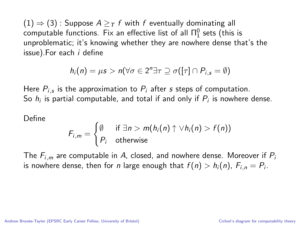$$
h_i(n) = \mu s > n(\forall \sigma \in 2^n \exists \tau \supseteq \sigma([\tau] \cap P_{i,s} = \emptyset)
$$

Here  $P_{i,s}$  is the approximation to  $P_i$  after  $s$  steps of computation. So  $h_i$  is partial computable, and total if and only if  $P_i$  is nowhere dense.

Define

$$
F_{i,m} = \begin{cases} \emptyset & \text{if } \exists n > m(h_i(n) \uparrow \vee h_i(n) > f(n)) \\ P_i & \text{otherwise} \end{cases}
$$

The  $F_{i,m}$  are computable in A, closed, and nowhere dense. Moreover if  $P_i$ is nowhere dense, then for  $n$  large enough that  $f(n) > h_i(n)$ ,  $F_{i,n} = P_i.$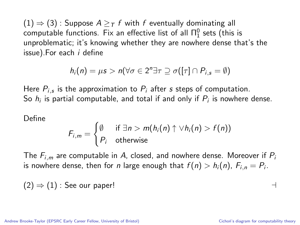$$
h_i(n) = \mu s > n(\forall \sigma \in 2^n \exists \tau \supseteq \sigma([\tau] \cap P_{i,s} = \emptyset)
$$

Here  $P_{i,s}$  is the approximation to  $P_i$  after  $s$  steps of computation. So  $h_i$  is partial computable, and total if and only if  $P_i$  is nowhere dense.

Define

$$
F_{i,m} = \begin{cases} \emptyset & \text{if } \exists n > m(h_i(n) \uparrow \vee h_i(n) > f(n)) \\ P_i & \text{otherwise} \end{cases}
$$

The  $F_{i,m}$  are computable in A, closed, and nowhere dense. Moreover if  $P_i$ is nowhere dense, then for  $n$  large enough that  $f(n) > h_i(n)$ ,  $F_{i,n} = P_i.$ 

$$
(2) \Rightarrow (1) : See our paper!
$$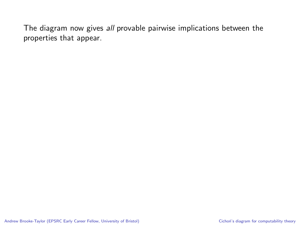The diagram now gives all provable pairwise implications between the properties that appear.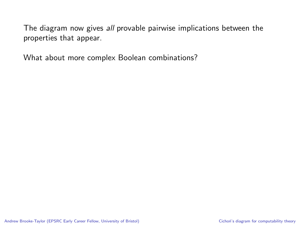The diagram now gives all provable pairwise implications between the properties that appear.

What about more complex Boolean combinations?